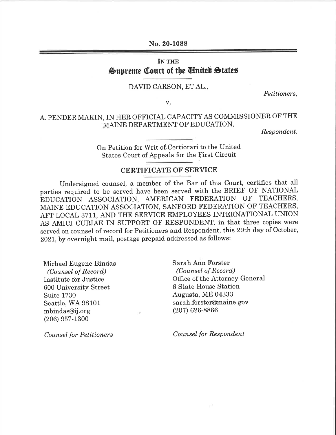No. 20-1088

## IN THE Supreme Court of the United States

## DAVID CARSON, ETAL.,

Petitioners,

v

## A. PENDER MAKIN, IN HER OFFICIAL CAPACITY AS COMMISSIONER OF THE MAINE DEPARTMENT OF EDUCATION,

Respondent.

On Petition for Writ of-Certiorari to the United States Court of Appeals for the First Circuit

## CERTIFICATE OF SERVICE

Undersigned counsel, a member of the Bar of this Court, certifies that all parties required to be served have been served with the BRIEF OF NATIONAL EDUCATION ASSOCIATION, AMERICAN FEDERATION OF TEACHERS, MAINE EDUCATION ASSOCIATION, SANFORD FEDERATION OF TEACHERS, AFT LOCAL 3711, AND THE SERVICE EMPLOYEES INTERNATIONAL UNION AS AMICI CURIAE IN SUPPORT OF RESPONDENT, in that three copies were served on counsel of record for Petitioners and Respondent, this 29th day of October, 202L, by overnight mail, postage prepaid addressed as follows:

Michael Eugene Bindas (Counsel of Record) Institute for Justice 600 University Street Suite 1730 Seattle, WA 98101 mbindas@ij.org (206) e57-1300

Coun sel for Petitioners

Sarah Ann Forster (Counsel of Record) Office of the Attorney General 6 State House Station Augusta, ME 04333 sarah.forster@maine. gov (207) 626-8866

Counsel for Respondent